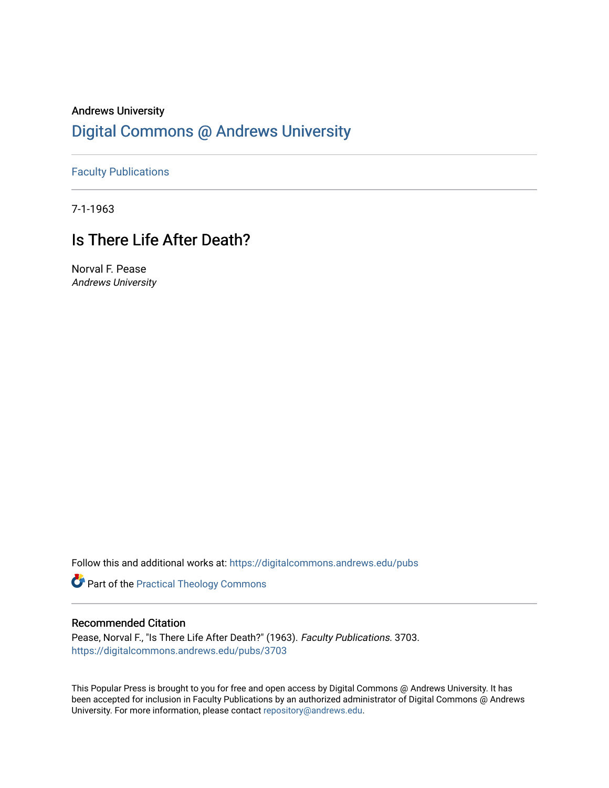# Andrews University [Digital Commons @ Andrews University](https://digitalcommons.andrews.edu/)

[Faculty Publications](https://digitalcommons.andrews.edu/pubs)

7-1-1963

# Is There Life After Death?

Norval F. Pease Andrews University

Follow this and additional works at: [https://digitalcommons.andrews.edu/pubs](https://digitalcommons.andrews.edu/pubs?utm_source=digitalcommons.andrews.edu%2Fpubs%2F3703&utm_medium=PDF&utm_campaign=PDFCoverPages) 

Part of the [Practical Theology Commons](http://network.bepress.com/hgg/discipline/1186?utm_source=digitalcommons.andrews.edu%2Fpubs%2F3703&utm_medium=PDF&utm_campaign=PDFCoverPages)

## Recommended Citation

Pease, Norval F., "Is There Life After Death?" (1963). Faculty Publications. 3703. [https://digitalcommons.andrews.edu/pubs/3703](https://digitalcommons.andrews.edu/pubs/3703?utm_source=digitalcommons.andrews.edu%2Fpubs%2F3703&utm_medium=PDF&utm_campaign=PDFCoverPages) 

This Popular Press is brought to you for free and open access by Digital Commons @ Andrews University. It has been accepted for inclusion in Faculty Publications by an authorized administrator of Digital Commons @ Andrews University. For more information, please contact [repository@andrews.edu](mailto:repository@andrews.edu).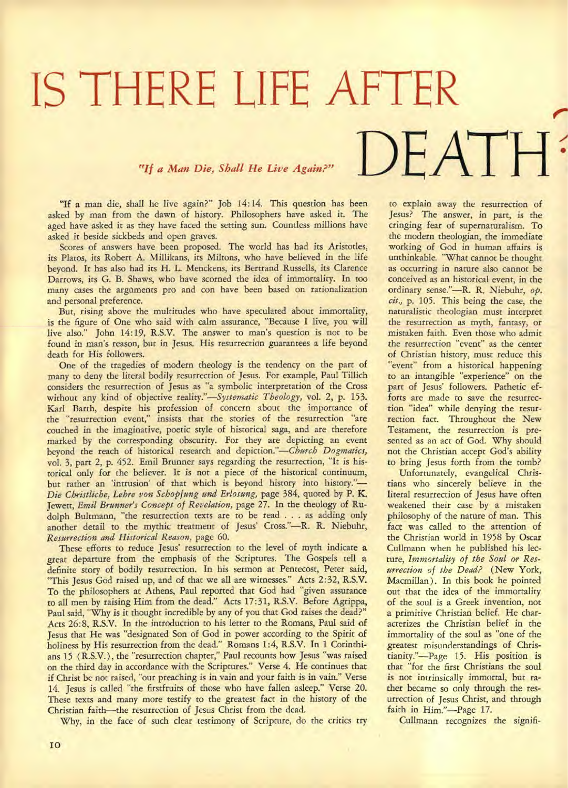# **IS THERE LIFE AFTER**  $T_f$  *a Man Die, Shall He Live Again?"*  $DEATH$

"If a man die, shall he live again?" Job 14:14. This question has been asked by man from the dawn of history. Philosophers have asked it. The aged have asked it as they have faced the setting sun. Countless millions have asked it beside sickbeds and open graves.

Scores of answers have been proposed. The world has had its Aristotles, its Platos, its Robert A. Millikans, its Miltons, who have believed in the life beyond. It has also had its H. L. Menckens, its Bertrand Russells, its Clarence Darrows, its G. B. Shaws, who have scorned the idea of immortality. In too many cases the arguments pro and con have been based on rationalization and personal preference.

But, rising above the multitudes who have speculated about immortality, is the figure of One who said with calm assurance, "Because I live, you will live also." John 14:19, R.S.V. The answer to man's question is not to be found in man's reason, but in Jesus. His resurrection guarantees a life beyond death for His followers.

One of the tragedies of modern theology is the tendency on the part of many to deny the literal bodily resurrection of Jesus. For example, Paul Tillich considers the resurrection of Jesus as "a symbolic interpretation of the Cross without any kind of objective *reality."—Systematic Theology,* vol. 2, p. 153. Karl Barth, despite his profession of concern about the importance **of**  the "resurrection event," insists that the stories of the resurrection "are couched in the imaginative, poetic style of historical saga, and are therefore marked by the corresponding obscurity. For they are depicting an event beyond the reach of historical research and depiction."—Church *Dogmatics,*  vol. 3, part 2, p. 452. Emil Brunner says regarding the resurrection, "It is historical only for the believer. It is not a piece of the historical continuum, but rather an 'intrusion' of that which is beyond history into history."— *Die Christliche, Lehre von Schopfung and Erlosung,* page 384, quoted by P. **K.**  Jewett, *Emil Brunner's Concept of Revelation,* page 27. In the theology of **Rudolph** Bultmann, "the resurrection texts are to be read . . . as adding only another detail to the mythic treatment of Jesus' Cross."—R. R. Niebuhr, *Resurrection and Historical Reason,* page 60.

These efforts to reduce Jesus' resurrection to the level of myth indicate a great departure from the emphasis of the Scriptures. The Gospels tell a definite story of bodily resurrection. In his sermon at Pentecost, Peter said, "This Jesus God raised up, and of that we all are witnesses." Acts 2:32, R.S.V. To the philosophers at Athens, Paul reported that God had "given assurance to all men by raising Him from the dead." Acts 17:31, R.S.V. Before Agrippa, Paul said, "Why is it thought incredible by any of you that God raises the dead?" Acts 26:8, R.S.V. In the introduction to his letter to the Romans, Paul said **of**  Jesus that He was "designated Son of God in power according to the Spirit of holiness by His resurrection from the dead." Romans 1:4, R.S.V. In 1 Corinthians 15 (R.S.V.), the "resurrection chapter," Paul recounts how Jesus "was raised on the third day in accordance with the Scriptures." Verse 4. He continues that if Christ be not raised, "our preaching is in vain and your faith is in vain." Verse 14. Jesus is called "the firstfruits of those who have fallen asleep." Verse 20. These texts and many more testify to the greatest fact in the history of the Christian faith—the resurrection of Jesus Christ from the dead.

Why, in the face of such clear testimony of Scripture, do the critics try

to explain away the resurrection of Jesus? The answer, in part, is the cringing fear of supernaturalism. To the modern theologian, the immediate working of God in human affairs is unthinkable. "What cannot be thought as occurring in nature also cannot be conceived as an historical event, in the ordinary sense."—R. R. Niebuhr, *op. cit.,* p. 105. This being the case, the naturalistic theologian must interpret the resurrection as myth, fantasy, or mistaken faith. Even those who admit the resurrection "event" as the center of Christian history, must reduce this "event" from a historical happening to an intangible "experience" on the part of Jesus' followers. Pathetic efforts are made to save the resurrection "idea" while denying the resurrection fact. Throughout the New Testament, the resurrection is presented as an act of God. Why should not the Christian accept God's ability to bring Jesus forth from the tomb?

Unfortunately, evangelical Christians who sincerely believe in the literal resurrection of Jesus have often weakened their case by a mistaken philosophy of the nature of man. This fact was called to the attention of the Christian world in 1958 by Oscar Cullmann when he published his lecture, *Immortality of the Soul or Resurrection of the Dead?* (New York, Macmillan ). In this book he pointed out that the idea of the immortality of the soul is a Greek invention, not a primitive Christian belief. He characterizes the Christian belief in the immortality of the soul as "one of the greatest misunderstandings of Christianity."—Page 15. His position is that "for the first Christians the soul is not intrinsically immortal, but rather became so only through the resurrection of Jesus Christ, and through faith in Him."—Page 17.

Cullmann recognizes the signifi-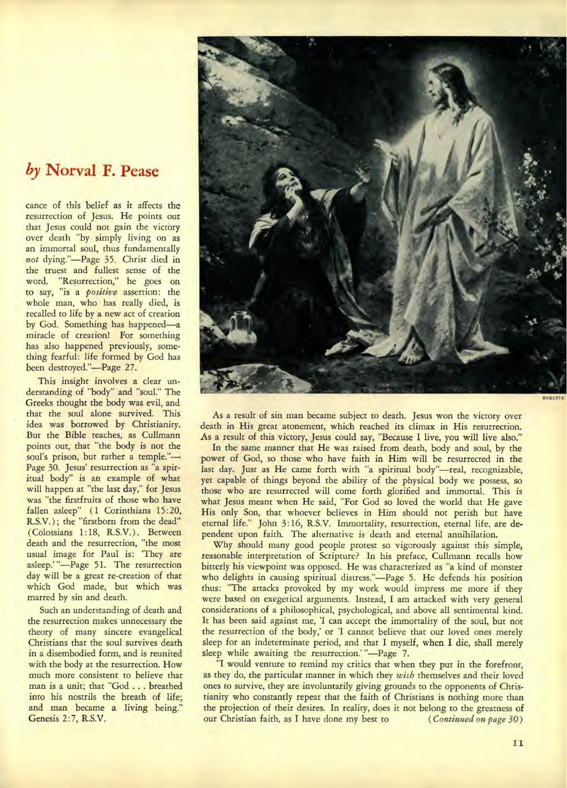# *by* **Norval F. Pease**

cance of this belief as it affects the resurrection of Jesus. He points out that Jesus could not gain the victory over death "by simply living on as an immortal soul, thus fundamentally *not* dying."—Page 35. Christ died in the truest and fullest sense of the word. "Resurrection," he goes on to say, "is a *positive* assertion: the whole man, who has really died, is recalled to life by a new act of creation by God. Something has happened—a miracle of creation! For something has also happened previously, something fearful: life formed by God has been destroyed."—Page 27.

This insight involves a clear understanding of "body" and "soul." The Greeks thought the body was evil, and that the soul alone survived. This idea was borrowed by Christianity. But the Bible teaches, as Cullmann points out, that "the body is not the soul's prison, but rather a temple."-Page 30. Jesus' resurrection as "a spiritual body" is an example of what will happen at "the last day," for Jesus was "the firstfruits of those who have fallen asleep" (1 Corinthians 15:20, R.S.V.) ; the "firstborn from the dead" ( Colossians 1:18, R.S.V.). Between death and the resurrection, "the most usual image for Paul is: 'They are asleep.'"-Page 51. The resurrection day will be a great re-creation of that which God made, but which was marred by sin and death.

Such an understanding of death and the resurrection makes unnecessary the theory of many sincere evangelical Christians that the soul survives death in a disembodied form, and is reunited with the body at the resurrection. How much more consistent to believe that man is a unit; that "God . . . breathed into his nostrils the breath of life; and man became a living being." Genesis 2:7, R.S.V.



As a result of sin man became subject to death. Jesus won the victory over death in His great atonement, which reached its climax in His resurrection. As a result of this victory, Jesus could say, "Because I live, you will live also."

In the same manner that He was raised from death, body and soul, by the power of God, so those who have faith in Him will be resurrected in the last day. Just as He came forth with "a spiritual body"—real, recognizable, yet capable of things beyond the ability of the physical body we possess, so those who are resurrected will come forth glorified and immortal. This is what Jesus meant when He said, "For God so loved the world that He gave His only Son, that whoever believes in Him should not perish but have eternal life." John 3: 16, R.S.V. Immortality, resurrection, eternal life, are dependent upon faith. The alternative is death and eternal annihilation.

Why should many good people protest so vigorously against this simple, reasonable interpretation of Scripture? In his preface, Cullmann recalls how bitterly his viewpoint was opposed. He was characterized as "a kind of monster who delights in causing spiritual distress."—Page 5. He defends his position thus: "The attacks provoked by my work would impress me more if they were based on exegetical arguments. Instead, I am attacked with very general considerations of a philosophical, psychological, and above all sentimental kind. It has been said against me, 'I can accept the immortality of the soul, but not the resurrection of the body,' or 'I cannot believe that our loved ones merely sleep for an indeterminate period, and that I myself, when I die, shall merely sleep while awaiting the resurrection.' "-Page 7.

"I would venture to remind my critics that when they put in the forefront, as they do, the particular manner in which they *wish* themselves and their loved ones to survive, they are involuntarily giving grounds to the opponents of Christianity who constantly repeat that the faith of Christians is nothing more than the projection of their desires. In reality, does it not belong to the greatness of our Christian faith, as I have done my best to (*Continued on page 30*) our Christian faith, as I have done my best to